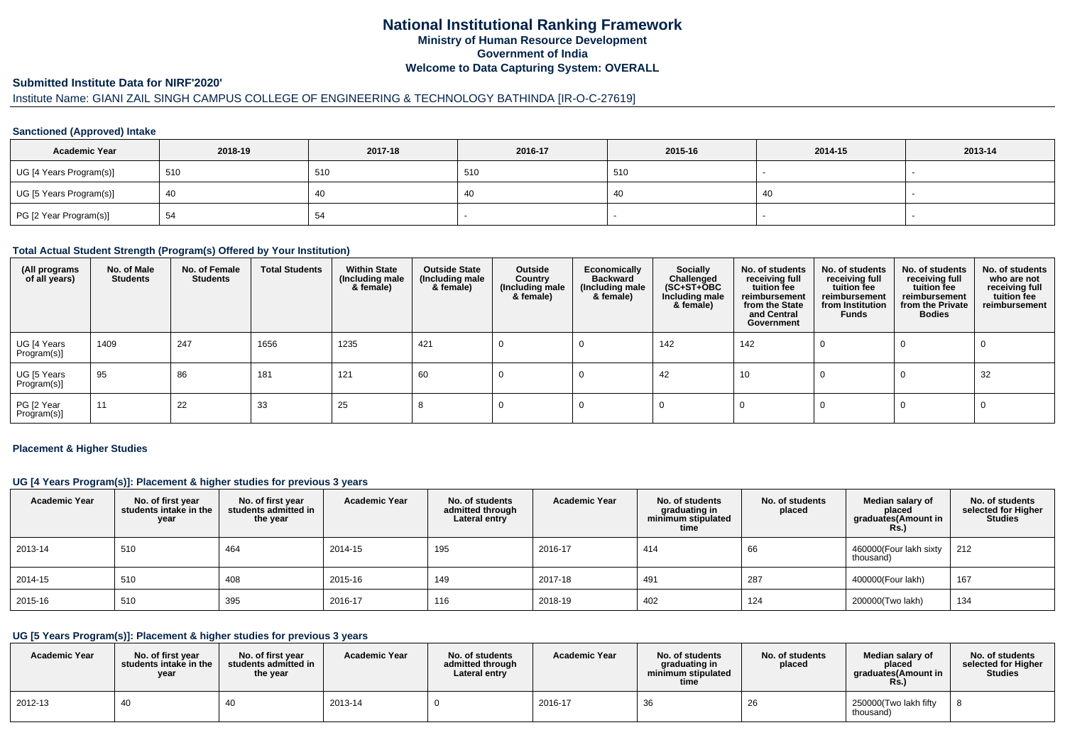# **National Institutional Ranking FrameworkMinistry of Human Resource DevelopmentGovernment of IndiaWelcome to Data Capturing System: OVERALL**

### **Submitted Institute Data for NIRF'2020'**

# Institute Name: GIANI ZAIL SINGH CAMPUS COLLEGE OF ENGINEERING & TECHNOLOGY BATHINDA [IR-O-C-27619]

## **Sanctioned (Approved) Intake**

| <b>Academic Year</b>    | 2018-19 | 2017-18 | 2016-17 | 2015-16 | 2014-15 | 2013-14 |
|-------------------------|---------|---------|---------|---------|---------|---------|
| UG [4 Years Program(s)] | 510     | 510     | 510     | 510     |         |         |
| UG [5 Years Program(s)] | 40      | 40      | 40      | -40     | 40      |         |
| PG [2 Year Program(s)]  |         | 54      |         |         |         |         |

### **Total Actual Student Strength (Program(s) Offered by Your Institution)**

| (All programs<br>of all years) | No. of Male<br><b>Students</b> | No. of Female<br><b>Students</b> | <b>Total Students</b> | <b>Within State</b><br>(Including male<br>& female) | <b>Outside State</b><br>(Including male<br>& female) | Outside<br>Country<br>(Including male<br>& female) | Economically<br><b>Backward</b><br>(Including male<br>& female) | <b>Socially</b><br>Challenged<br>$(SC+ST+\text{O}BC)$<br>Including male<br>& female) | No. of students<br>receiving full<br>tuition fee<br>reimbursement<br>from the State<br>and Central<br>Government | No. of students<br>receiving full<br>tuition fee<br>reimbursement<br>from Institution<br><b>Funds</b> | No. of students<br>receiving full<br>tuition fee<br>reimbursement<br>from the Private<br><b>Bodies</b> | No. of students<br>who are not<br>receiving full<br>tuition fee<br>reimbursement |
|--------------------------------|--------------------------------|----------------------------------|-----------------------|-----------------------------------------------------|------------------------------------------------------|----------------------------------------------------|-----------------------------------------------------------------|--------------------------------------------------------------------------------------|------------------------------------------------------------------------------------------------------------------|-------------------------------------------------------------------------------------------------------|--------------------------------------------------------------------------------------------------------|----------------------------------------------------------------------------------|
| UG [4 Years<br>Program(s)]     | 1409                           | 247                              | 1656                  | 1235                                                | 421                                                  |                                                    |                                                                 | 142                                                                                  | 142                                                                                                              |                                                                                                       |                                                                                                        |                                                                                  |
| UG [5 Years<br>Program(s)]     | 95                             | 86                               | 181                   | 121                                                 | 60                                                   |                                                    |                                                                 | 42                                                                                   | 10                                                                                                               |                                                                                                       | U                                                                                                      | 32                                                                               |
| PG [2 Year<br>Program(s)]      | 11                             | 22                               | 33                    | 25                                                  |                                                      |                                                    |                                                                 |                                                                                      |                                                                                                                  |                                                                                                       |                                                                                                        |                                                                                  |

#### **Placement & Higher Studies**

## **UG [4 Years Program(s)]: Placement & higher studies for previous 3 years**

| <b>Academic Year</b> | No. of first year<br>students intake in the<br>year | No. of first year<br>students admitted in<br>the year | <b>Academic Year</b> | No. of students<br>admitted through<br>Lateral entry | <b>Academic Year</b> | No. of students<br>graduating in<br>minimum stipulated<br>time | No. of students<br>placed | Median salary of<br>placed<br>graduates(Amount in<br><b>Rs.)</b> | No. of students<br>selected for Higher<br><b>Studies</b> |
|----------------------|-----------------------------------------------------|-------------------------------------------------------|----------------------|------------------------------------------------------|----------------------|----------------------------------------------------------------|---------------------------|------------------------------------------------------------------|----------------------------------------------------------|
| 2013-14              | 510                                                 | 464                                                   | 2014-15              | 195                                                  | 2016-17              | 414                                                            | 66                        | 460000(Four lakh sixty<br>thousand)                              | 212                                                      |
| 2014-15              | 510                                                 | 408                                                   | 2015-16              | <b>149</b>                                           | 2017-18              | 491                                                            | 287                       | 400000(Four lakh)                                                | 167                                                      |
| 2015-16              | 510                                                 | 395                                                   | 2016-17              | 116                                                  | 2018-19              | 402                                                            | 124                       | 200000(Two lakh)                                                 | 134                                                      |

## **UG [5 Years Program(s)]: Placement & higher studies for previous 3 years**

| <b>Academic Year</b> | No. of first year<br>students intake in the<br>year | No. of first year<br>students admitted in<br>the year | <b>Academic Year</b> | No. of students<br>admitted through<br>Lateral entry | <b>Academic Year</b> | No. of students<br>graduating in<br>minimum stipulated<br>time | No. of students<br>placed | Median salary of<br>placed<br>araduates(Amount in<br><b>Rs.)</b> | No. of students<br>selected for Higher<br><b>Studies</b> |
|----------------------|-----------------------------------------------------|-------------------------------------------------------|----------------------|------------------------------------------------------|----------------------|----------------------------------------------------------------|---------------------------|------------------------------------------------------------------|----------------------------------------------------------|
| 2012-13              | 40                                                  |                                                       | 2013-14              |                                                      | 2016-17              | 26<br>ഄഄ                                                       | 26                        | 250000(Two lakh fifty<br>thousand)                               |                                                          |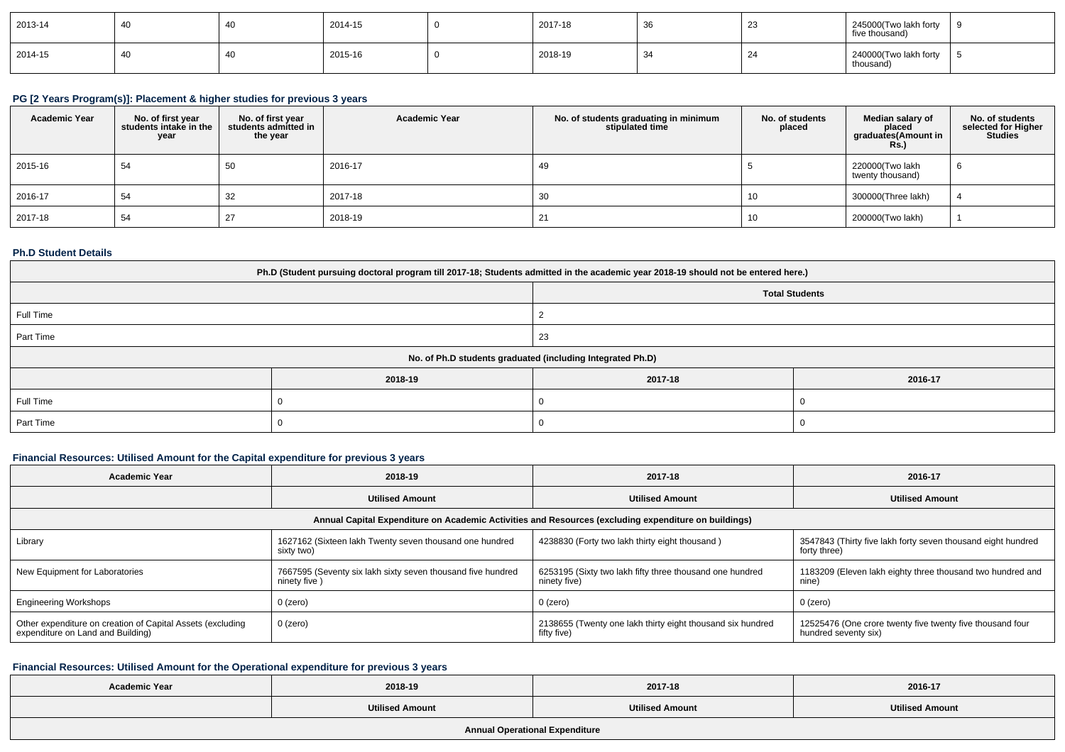| 2013-14 | -40 | 2014-15 | 2017-18 | 36 | $\sim$<br>ںے | 245000(Two lakh forty<br>five thousand) |  |
|---------|-----|---------|---------|----|--------------|-----------------------------------------|--|
| 2014-15 | 40  | 2015-16 | 2018-19 |    | c.           | 240000(Two lakh forty<br>thousand)      |  |

# **PG [2 Years Program(s)]: Placement & higher studies for previous 3 years**

| <b>Academic Year</b> | No. of first year<br>students intake in the<br>year | No. of first vear<br>students admitted in<br>the year | <b>Academic Year</b> | No. of students graduating in minimum<br>stipulated time | No. of students<br>placed | Median salary of<br>placed<br>graduates(Amount in<br><b>Rs.</b> ) | No. of students<br>selected for Higher<br><b>Studies</b> |
|----------------------|-----------------------------------------------------|-------------------------------------------------------|----------------------|----------------------------------------------------------|---------------------------|-------------------------------------------------------------------|----------------------------------------------------------|
| 2015-16              | 54                                                  | 50                                                    | 2016-17              | -49                                                      |                           | 220000(Two lakh<br>twenty thousand)                               | -6                                                       |
| 2016-17              | 54                                                  | 32                                                    | 2017-18              | 30                                                       | Ίυ                        | 300000(Three lakh)                                                |                                                          |
| 2017-18              | 54                                                  | 27                                                    | 2018-19              | 21                                                       | Ίυ                        | 200000(Two lakh)                                                  |                                                          |

## **Ph.D Student Details**

| Ph.D (Student pursuing doctoral program till 2017-18; Students admitted in the academic year 2018-19 should not be entered here.) |         |                       |         |  |  |  |
|-----------------------------------------------------------------------------------------------------------------------------------|---------|-----------------------|---------|--|--|--|
|                                                                                                                                   |         | <b>Total Students</b> |         |  |  |  |
| Full Time                                                                                                                         |         |                       |         |  |  |  |
| Part Time                                                                                                                         |         | 23                    |         |  |  |  |
| No. of Ph.D students graduated (including Integrated Ph.D)                                                                        |         |                       |         |  |  |  |
|                                                                                                                                   | 2018-19 | 2017-18               | 2016-17 |  |  |  |
| Full Time                                                                                                                         |         |                       |         |  |  |  |
| Part Time                                                                                                                         |         |                       |         |  |  |  |

## **Financial Resources: Utilised Amount for the Capital expenditure for previous 3 years**

| <b>Academic Year</b>                                                                                 | 2018-19                                                                     | 2017-18                                                                   | 2016-17                                                                           |  |  |  |  |  |
|------------------------------------------------------------------------------------------------------|-----------------------------------------------------------------------------|---------------------------------------------------------------------------|-----------------------------------------------------------------------------------|--|--|--|--|--|
| <b>Utilised Amount</b>                                                                               |                                                                             | <b>Utilised Amount</b>                                                    | <b>Utilised Amount</b>                                                            |  |  |  |  |  |
| Annual Capital Expenditure on Academic Activities and Resources (excluding expenditure on buildings) |                                                                             |                                                                           |                                                                                   |  |  |  |  |  |
| Library                                                                                              | 1627162 (Sixteen lakh Twenty seven thousand one hundred<br>sixty two)       | 4238830 (Forty two lakh thirty eight thousand)                            | 3547843 (Thirty five lakh forty seven thousand eight hundred<br>forty three)      |  |  |  |  |  |
| New Equipment for Laboratories                                                                       | 7667595 (Seventy six lakh sixty seven thousand five hundred<br>ninety five) | 6253195 (Sixty two lakh fifty three thousand one hundred<br>ninety five)  | 1183209 (Eleven lakh eighty three thousand two hundred and<br>nine)               |  |  |  |  |  |
| <b>Engineering Workshops</b>                                                                         | $0$ (zero)                                                                  | $0$ (zero)                                                                | 0 (zero)                                                                          |  |  |  |  |  |
| Other expenditure on creation of Capital Assets (excluding<br>expenditure on Land and Building)      | 0 (zero)                                                                    | 2138655 (Twenty one lakh thirty eight thousand six hundred<br>fifty five) | 12525476 (One crore twenty five twenty five thousand four<br>hundred seventy six) |  |  |  |  |  |

# **Financial Resources: Utilised Amount for the Operational expenditure for previous 3 years**

| <b>Academic Year</b>           | 2018-19 | 2017-18                | 2016-17                |  |  |  |
|--------------------------------|---------|------------------------|------------------------|--|--|--|
| <b>Utilised Amount</b>         |         | <b>Utilised Amount</b> | <b>Utilised Amount</b> |  |  |  |
| Annual Operational Expenditure |         |                        |                        |  |  |  |

**Annual Operational Expenditure**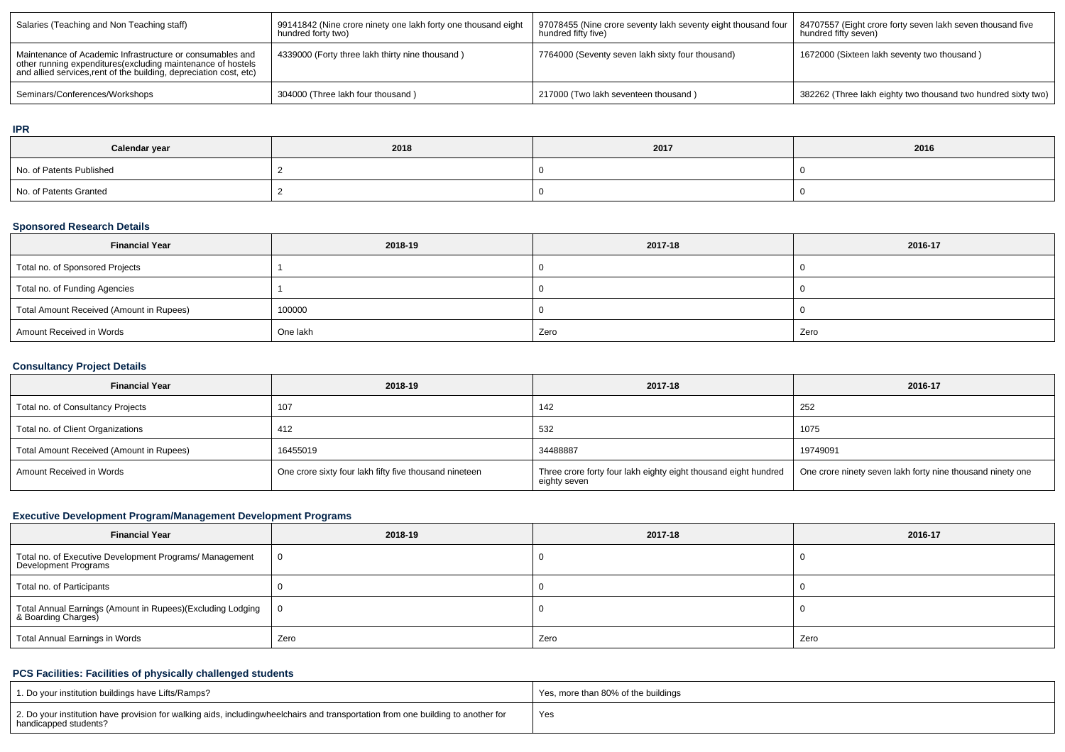| Salaries (Teaching and Non Teaching staff)                                                                                                                                                      | 99141842 (Nine crore ninety one lakh forty one thousand eight<br>hundred forty two) | 97078455 (Nine crore seventy lakh seventy eight thousand four  <br>hundred fifty five) | 84707557 (Eight crore forty seven lakh seven thousand five<br>hundred fifty seven) |
|-------------------------------------------------------------------------------------------------------------------------------------------------------------------------------------------------|-------------------------------------------------------------------------------------|----------------------------------------------------------------------------------------|------------------------------------------------------------------------------------|
| Maintenance of Academic Infrastructure or consumables and<br>other running expenditures (excluding maintenance of hostels<br>and allied services, rent of the building, depreciation cost, etc) | 4339000 (Forty three lakh thirty nine thousand)                                     | 7764000 (Seventy seven lakh sixty four thousand)                                       | 1672000 (Sixteen lakh seventy two thousand)                                        |
| Seminars/Conferences/Workshops                                                                                                                                                                  | 304000 (Three lakh four thousand)                                                   | 217000 (Two lakh seventeen thousand)                                                   | 382262 (Three lakh eighty two thousand two hundred sixty two)                      |

#### **IPR**

| Calendar year            | 2018 | 2017 | 2016 |
|--------------------------|------|------|------|
| No. of Patents Published |      |      |      |
| No. of Patents Granted   |      |      |      |

## **Sponsored Research Details**

| <b>Financial Year</b>                    | 2018-19  | 2017-18 | 2016-17 |
|------------------------------------------|----------|---------|---------|
| Total no. of Sponsored Projects          |          |         |         |
| Total no. of Funding Agencies            |          |         |         |
| Total Amount Received (Amount in Rupees) | 100000   |         |         |
| Amount Received in Words                 | One lakh | Zero    | Zero    |

# **Consultancy Project Details**

| <b>Financial Year</b>                    | 2018-19                                                | 2017-18                                                                         | 2016-17                                                    |
|------------------------------------------|--------------------------------------------------------|---------------------------------------------------------------------------------|------------------------------------------------------------|
| Total no. of Consultancy Projects        | 107                                                    | 142                                                                             | 252                                                        |
| Total no. of Client Organizations        | 412                                                    | 532                                                                             | 1075                                                       |
| Total Amount Received (Amount in Rupees) | 16455019                                               | 34488887                                                                        | 19749091                                                   |
| Amount Received in Words                 | One crore sixty four lakh fifty five thousand nineteen | Three crore forty four lakh eighty eight thousand eight hundred<br>eighty seven | One crore ninety seven lakh forty nine thousand ninety one |

# **Executive Development Program/Management Development Programs**

| <b>Financial Year</b>                                                              | 2018-19 | 2017-18 | 2016-17 |
|------------------------------------------------------------------------------------|---------|---------|---------|
| Total no. of Executive Development Programs/ Management<br>Development Programs    | 0       |         |         |
| Total no. of Participants                                                          |         |         |         |
| Total Annual Earnings (Amount in Rupees)(Excluding Lodging<br>8. Boarding Charges) |         |         |         |
| Total Annual Earnings in Words                                                     | Zero    | Zero    | Zero    |

## **PCS Facilities: Facilities of physically challenged students**

| 1. Do your institution buildings have Lifts/Ramps?                                                                                                        | Yes, more than 80% of the buildings |
|-----------------------------------------------------------------------------------------------------------------------------------------------------------|-------------------------------------|
| 2. Do your institution have provision for walking aids, includingwheelchairs and transportation from one building to another for<br>handicapped students? | 'Yes                                |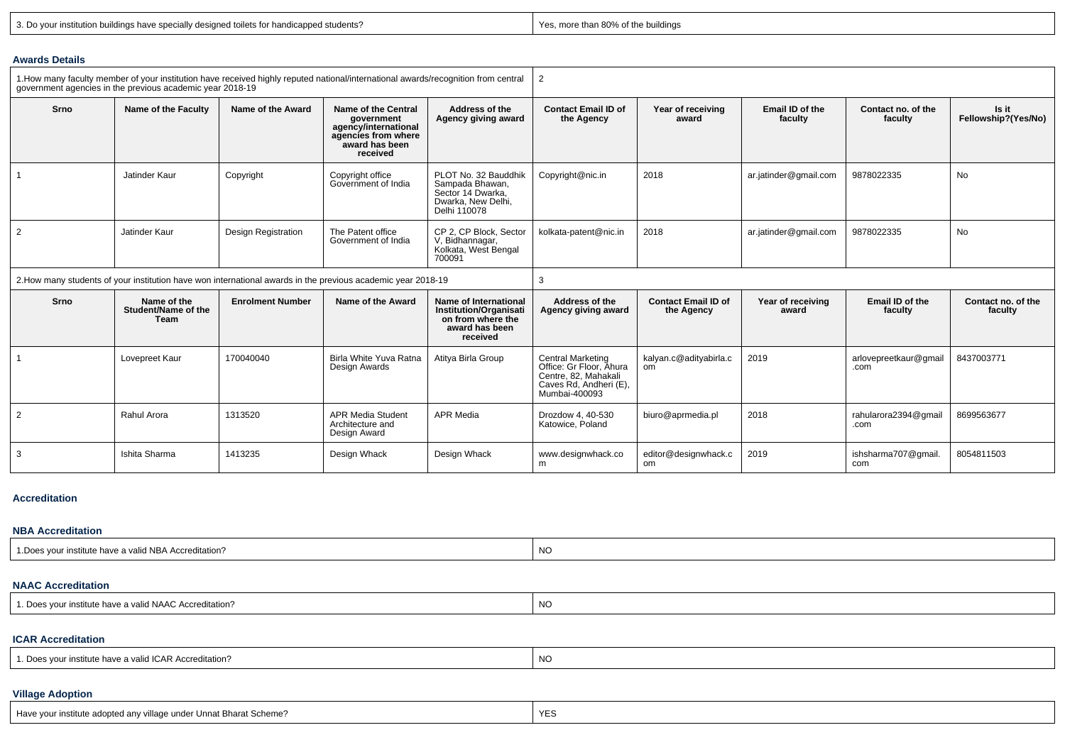|  |  |  |  | 3. Do your institution buildings have specially designed toilets for handicapped students? |  |
|--|--|--|--|--------------------------------------------------------------------------------------------|--|
|  |  |  |  |                                                                                            |  |

Ishita Sharma (1413235 Design Whack Design Whack Minack Whack Whack Minack Design Whack Minack Minack.co<br>Im

Yes, more than 80% of the buildings

editor@designwhack.c om

2019

ishsharma707@gmail. com

8054811503

#### **Awards Details**

| 1. How many faculty member of your institution have received highly reputed national/international awards/recognition from central<br>government agencies in the previous academic year 2018-19 |                                                   |                            |                                                                                                                |                                                                                                           | 2                                                                                                                      |                                          |                            |                               |                               |  |  |
|-------------------------------------------------------------------------------------------------------------------------------------------------------------------------------------------------|---------------------------------------------------|----------------------------|----------------------------------------------------------------------------------------------------------------|-----------------------------------------------------------------------------------------------------------|------------------------------------------------------------------------------------------------------------------------|------------------------------------------|----------------------------|-------------------------------|-------------------------------|--|--|
| Srno                                                                                                                                                                                            | Name of the Faculty                               | Name of the Award          | Name of the Central<br>government<br>agency/international<br>agencies from where<br>award has been<br>received | Address of the<br>Agency giving award                                                                     | <b>Contact Email ID of</b><br>the Agency                                                                               | Year of receiving<br>award               | Email ID of the<br>faculty | Contact no. of the<br>faculty | Is it<br>Fellowship?(Yes/No)  |  |  |
|                                                                                                                                                                                                 | Jatinder Kaur                                     | Copyright                  | Copyright office<br>Government of India                                                                        | PLOT No. 32 Bauddhik<br>Sampada Bhawan,<br>Sector 14 Dwarka.<br>Dwarka, New Delhi,<br>Delhi 110078        | Copyright@nic.in                                                                                                       | 2018                                     | ar.jatinder@gmail.com      | 9878022335                    | No                            |  |  |
| $\overline{2}$                                                                                                                                                                                  | Jatinder Kaur                                     | <b>Design Registration</b> | The Patent office<br>Government of India                                                                       | CP 2. CP Block. Sector<br>V. Bidhannagar,<br>Kolkata, West Bengal<br>700091                               | kolkata-patent@nic.in                                                                                                  | 2018                                     | ar.jatinder@gmail.com      | 9878022335                    | No                            |  |  |
|                                                                                                                                                                                                 |                                                   |                            | 2. How many students of your institution have won international awards in the previous academic year 2018-19   |                                                                                                           | 3                                                                                                                      |                                          |                            |                               |                               |  |  |
| Srno                                                                                                                                                                                            | Name of the<br>Student/Name of the<br><b>Team</b> | <b>Enrolment Number</b>    | Name of the Award                                                                                              | Name of International<br><b>Institution/Organisati</b><br>on from where the<br>award has been<br>received | Address of the<br>Agency giving award                                                                                  | <b>Contact Email ID of</b><br>the Agency | Year of receiving<br>award | Email ID of the<br>faculty    | Contact no. of the<br>faculty |  |  |
|                                                                                                                                                                                                 | Lovepreet Kaur                                    | 170040040                  | Birla White Yuva Ratna<br>Design Awards                                                                        | Atitya Birla Group                                                                                        | <b>Central Marketing</b><br>Office: Gr Floor. Ahura<br>Centre, 82, Mahakali<br>Caves Rd, Andheri (E),<br>Mumbai-400093 | kalyan.c@adityabirla.c<br>om             | 2019                       | arlovepreetkaur@gmail<br>.com | 8437003771                    |  |  |
| 2                                                                                                                                                                                               | Rahul Arora                                       | 1313520                    | <b>APR Media Student</b><br>Architecture and<br>Design Award                                                   | <b>APR Media</b>                                                                                          | Drozdow 4, 40-530<br>Katowice, Poland                                                                                  | biuro@aprmedia.pl                        | 2018                       | rahularora2394@gmail<br>.com  | 8699563677                    |  |  |

#### **Accreditation**

3

#### **NBA Accreditation**

| is vour institute have a valid NBA Accreditation?<br>.Does | N0 |
|------------------------------------------------------------|----|
|                                                            |    |

## **NAAC Accreditation**

| 1 N11 R<br>ില<br>a valid NAAC Accreditation?<br>r institute have | NO. |
|------------------------------------------------------------------|-----|
|                                                                  |     |

### **ICAR Accreditation**

## **Village Adoption**

| Have your institute adopted any village under Unnat Bharat Scheme? | $\sqrt{2}$<br>YES |  |
|--------------------------------------------------------------------|-------------------|--|
|                                                                    |                   |  |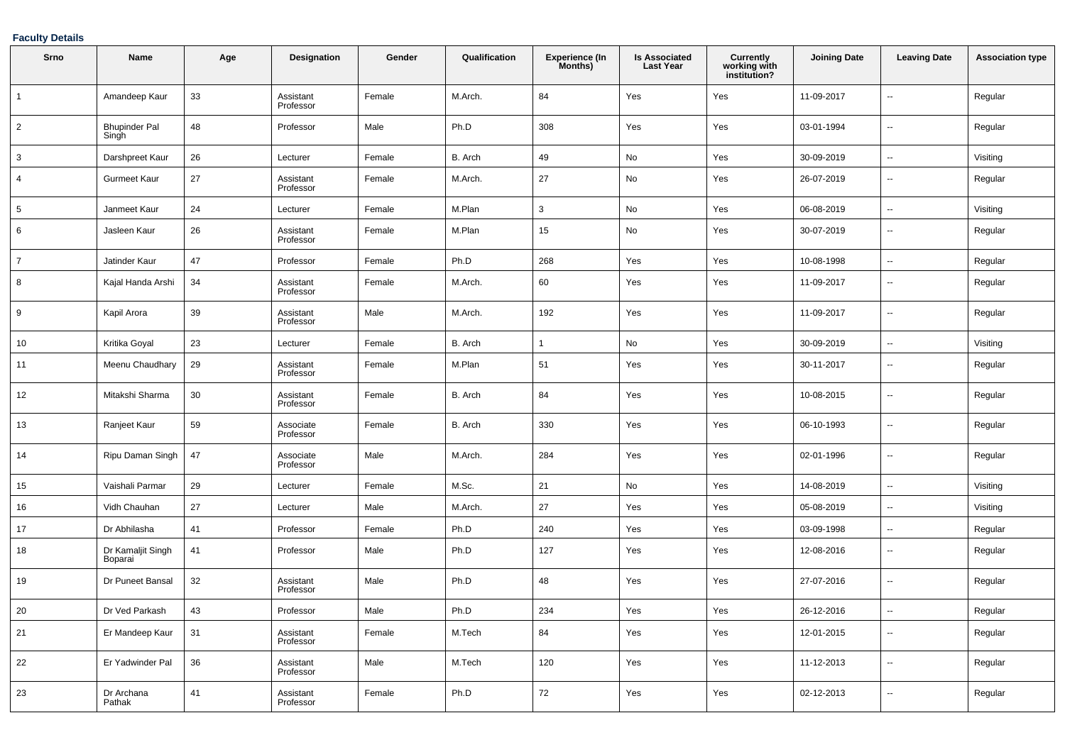## **Faculty Details**

| Srno           | <b>Name</b>                   | Age    | <b>Designation</b>     | Gender | Qualification | <b>Experience (In</b><br>Months) | <b>Is Associated</b><br><b>Last Year</b> | Currently<br>working with<br>institution? | <b>Joining Date</b> | <b>Leaving Date</b>      | <b>Association type</b> |
|----------------|-------------------------------|--------|------------------------|--------|---------------|----------------------------------|------------------------------------------|-------------------------------------------|---------------------|--------------------------|-------------------------|
| $\overline{1}$ | Amandeep Kaur                 | 33     | Assistant<br>Professor | Female | M.Arch.       | 84                               | Yes                                      | Yes                                       | 11-09-2017          | $\overline{\phantom{a}}$ | Regular                 |
| $\overline{2}$ | <b>Bhupinder Pal</b><br>Singh | 48     | Professor              | Male   | Ph.D          | 308                              | Yes                                      | Yes                                       | 03-01-1994          | $\overline{\phantom{a}}$ | Regular                 |
| 3              | Darshpreet Kaur               | 26     | Lecturer               | Female | B. Arch       | 49                               | No                                       | Yes                                       | 30-09-2019          | $\overline{\phantom{a}}$ | Visiting                |
| 4              | <b>Gurmeet Kaur</b>           | 27     | Assistant<br>Professor | Female | M.Arch.       | 27                               | No                                       | Yes                                       | 26-07-2019          | --                       | Regular                 |
| 5              | Janmeet Kaur                  | 24     | Lecturer               | Female | M.Plan        | 3                                | No                                       | Yes                                       | 06-08-2019          | $\overline{\phantom{a}}$ | Visiting                |
| 6              | Jasleen Kaur                  | 26     | Assistant<br>Professor | Female | M.Plan        | 15                               | No                                       | Yes                                       | 30-07-2019          | --                       | Regular                 |
| $\overline{7}$ | Jatinder Kaur                 | 47     | Professor              | Female | Ph.D          | 268                              | Yes                                      | Yes                                       | 10-08-1998          | $\overline{a}$           | Regular                 |
| 8              | Kajal Handa Arshi             | 34     | Assistant<br>Professor | Female | M.Arch.       | 60                               | Yes                                      | Yes                                       | 11-09-2017          | --                       | Regular                 |
| 9              | Kapil Arora                   | 39     | Assistant<br>Professor | Male   | M.Arch.       | 192                              | Yes                                      | Yes                                       | 11-09-2017          | $\overline{\phantom{a}}$ | Regular                 |
| 10             | Kritika Goyal                 | 23     | Lecturer               | Female | B. Arch       | 1                                | No                                       | Yes                                       | 30-09-2019          | $\overline{\phantom{a}}$ | Visiting                |
| 11             | Meenu Chaudhary               | 29     | Assistant<br>Professor | Female | M.Plan        | 51                               | Yes                                      | Yes                                       | 30-11-2017          | $\overline{\phantom{a}}$ | Regular                 |
| 12             | Mitakshi Sharma               | $30\,$ | Assistant<br>Professor | Female | B. Arch       | 84                               | Yes                                      | Yes                                       | 10-08-2015          | --                       | Regular                 |
| 13             | Ranjeet Kaur                  | 59     | Associate<br>Professor | Female | B. Arch       | 330                              | Yes                                      | Yes                                       | 06-10-1993          | $\overline{\phantom{a}}$ | Regular                 |
| 14             | Ripu Daman Singh              | 47     | Associate<br>Professor | Male   | M.Arch.       | 284                              | Yes                                      | Yes                                       | 02-01-1996          | $\overline{\phantom{a}}$ | Regular                 |
| 15             | Vaishali Parmar               | 29     | Lecturer               | Female | M.Sc.         | 21                               | No                                       | Yes                                       | 14-08-2019          | $\overline{\phantom{a}}$ | Visiting                |
| 16             | Vidh Chauhan                  | 27     | Lecturer               | Male   | M.Arch.       | 27                               | Yes                                      | Yes                                       | 05-08-2019          | $\overline{\phantom{a}}$ | Visiting                |
| 17             | Dr Abhilasha                  | 41     | Professor              | Female | Ph.D          | 240                              | Yes                                      | Yes                                       | 03-09-1998          | Ξ.                       | Regular                 |
| 18             | Dr Kamaljit Singh<br>Boparai  | 41     | Professor              | Male   | Ph.D          | 127                              | Yes                                      | Yes                                       | 12-08-2016          | --                       | Regular                 |
| 19             | Dr Puneet Bansal              | 32     | Assistant<br>Professor | Male   | Ph.D          | 48                               | Yes                                      | Yes                                       | 27-07-2016          | --                       | Regular                 |
| 20             | Dr Ved Parkash                | 43     | Professor              | Male   | Ph.D          | 234                              | Yes                                      | Yes                                       | 26-12-2016          |                          | Regular                 |
| 21             | Er Mandeep Kaur               | 31     | Assistant<br>Professor | Female | M.Tech        | 84                               | Yes                                      | Yes                                       | 12-01-2015          | $\overline{\phantom{a}}$ | Regular                 |
| 22             | Er Yadwinder Pal              | 36     | Assistant<br>Professor | Male   | M.Tech        | 120                              | Yes                                      | Yes                                       | 11-12-2013          | $\overline{\phantom{a}}$ | Regular                 |
| 23             | Dr Archana<br>Pathak          | 41     | Assistant<br>Professor | Female | Ph.D          | 72                               | Yes                                      | Yes                                       | 02-12-2013          | $\overline{\phantom{a}}$ | Regular                 |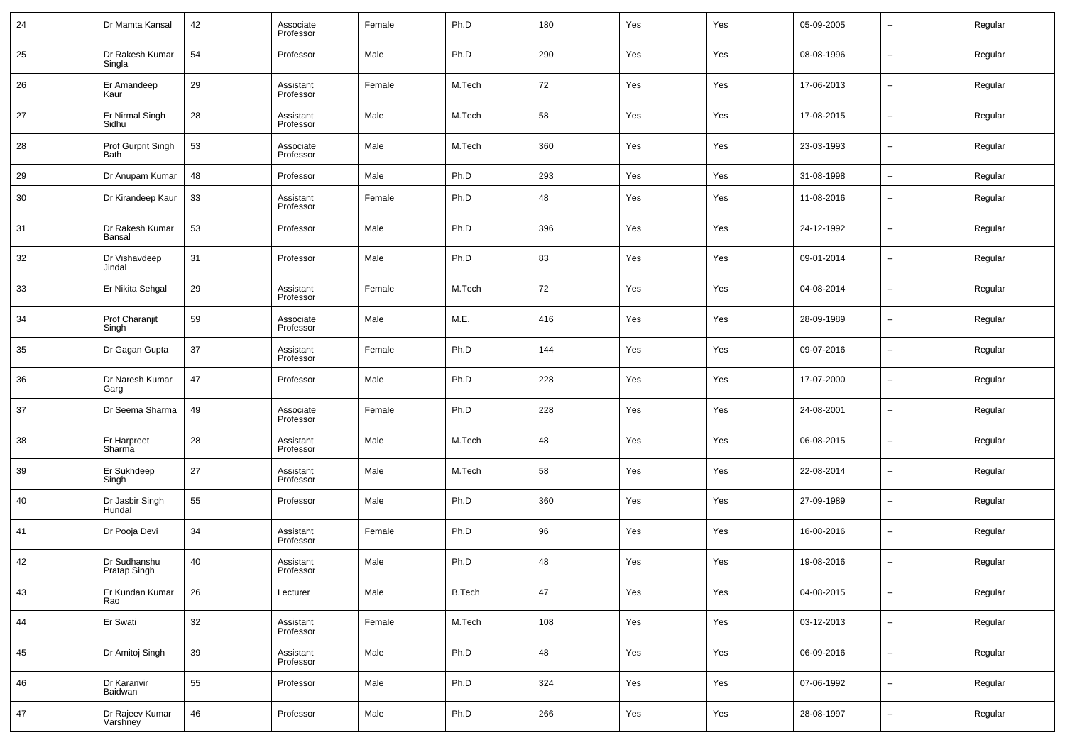| 24 | Dr Mamta Kansal              | 42 | Associate<br>Professor | Female | Ph.D          | 180 | Yes | Yes | 05-09-2005 | $\overline{\phantom{a}}$ | Regular |
|----|------------------------------|----|------------------------|--------|---------------|-----|-----|-----|------------|--------------------------|---------|
| 25 | Dr Rakesh Kumar<br>Singla    | 54 | Professor              | Male   | Ph.D          | 290 | Yes | Yes | 08-08-1996 | $\ddotsc$                | Regular |
| 26 | Er Amandeep<br>Kaur          | 29 | Assistant<br>Professor | Female | M.Tech        | 72  | Yes | Yes | 17-06-2013 | $\overline{\phantom{a}}$ | Regular |
| 27 | Er Nirmal Singh<br>Sidhu     | 28 | Assistant<br>Professor | Male   | M.Tech        | 58  | Yes | Yes | 17-08-2015 | $\sim$                   | Regular |
| 28 | Prof Gurprit Singh<br>Bath   | 53 | Associate<br>Professor | Male   | M.Tech        | 360 | Yes | Yes | 23-03-1993 | $\ddotsc$                | Regular |
| 29 | Dr Anupam Kumar              | 48 | Professor              | Male   | Ph.D          | 293 | Yes | Yes | 31-08-1998 | $\sim$                   | Regular |
| 30 | Dr Kirandeep Kaur            | 33 | Assistant<br>Professor | Female | Ph.D          | 48  | Yes | Yes | 11-08-2016 | $\sim$                   | Regular |
| 31 | Dr Rakesh Kumar<br>Bansal    | 53 | Professor              | Male   | Ph.D          | 396 | Yes | Yes | 24-12-1992 | --                       | Regular |
| 32 | Dr Vishavdeep<br>Jindal      | 31 | Professor              | Male   | Ph.D          | 83  | Yes | Yes | 09-01-2014 | $\sim$                   | Regular |
| 33 | Er Nikita Sehgal             | 29 | Assistant<br>Professor | Female | M.Tech        | 72  | Yes | Yes | 04-08-2014 | $\sim$                   | Regular |
| 34 | Prof Charanjit<br>Singh      | 59 | Associate<br>Professor | Male   | M.E.          | 416 | Yes | Yes | 28-09-1989 | $\sim$                   | Regular |
| 35 | Dr Gagan Gupta               | 37 | Assistant<br>Professor | Female | Ph.D          | 144 | Yes | Yes | 09-07-2016 | $\overline{\phantom{a}}$ | Regular |
| 36 | Dr Naresh Kumar<br>Garg      | 47 | Professor              | Male   | Ph.D          | 228 | Yes | Yes | 17-07-2000 | $\sim$                   | Regular |
| 37 | Dr Seema Sharma              | 49 | Associate<br>Professor | Female | Ph.D          | 228 | Yes | Yes | 24-08-2001 | $\sim$                   | Regular |
| 38 | Er Harpreet<br>Sharma        | 28 | Assistant<br>Professor | Male   | M.Tech        | 48  | Yes | Yes | 06-08-2015 | $\overline{\phantom{a}}$ | Regular |
| 39 | Er Sukhdeep<br>Singh         | 27 | Assistant<br>Professor | Male   | M.Tech        | 58  | Yes | Yes | 22-08-2014 | $\sim$                   | Regular |
| 40 | Dr Jasbir Singh<br>Hundal    | 55 | Professor              | Male   | Ph.D          | 360 | Yes | Yes | 27-09-1989 | $\sim$                   | Regular |
| 41 | Dr Pooja Devi                | 34 | Assistant<br>Professor | Female | Ph.D          | 96  | Yes | Yes | 16-08-2016 | $\sim$                   | Regular |
| 42 | Dr Sudhanshu<br>Pratap Singh | 40 | Assistant<br>Professor | Male   | Ph.D          | 48  | Yes | Yes | 19-08-2016 | $\overline{\phantom{a}}$ | Regular |
| 43 | Er Kundan Kumar<br>Rao       | 26 | Lecturer               | Male   | <b>B.Tech</b> | 47  | Yes | Yes | 04-08-2015 | $\sim$                   | Regular |
| 44 | Er Swati                     | 32 | Assistant<br>Professor | Female | M.Tech        | 108 | Yes | Yes | 03-12-2013 | $\sim$                   | Regular |
| 45 | Dr Amitoj Singh              | 39 | Assistant<br>Professor | Male   | Ph.D          | 48  | Yes | Yes | 06-09-2016 | $\sim$                   | Regular |
| 46 | Dr Karanvir<br>Baidwan       | 55 | Professor              | Male   | Ph.D          | 324 | Yes | Yes | 07-06-1992 | $\sim$                   | Regular |
| 47 | Dr Rajeev Kumar<br>Varshney  | 46 | Professor              | Male   | Ph.D          | 266 | Yes | Yes | 28-08-1997 | $\overline{\phantom{a}}$ | Regular |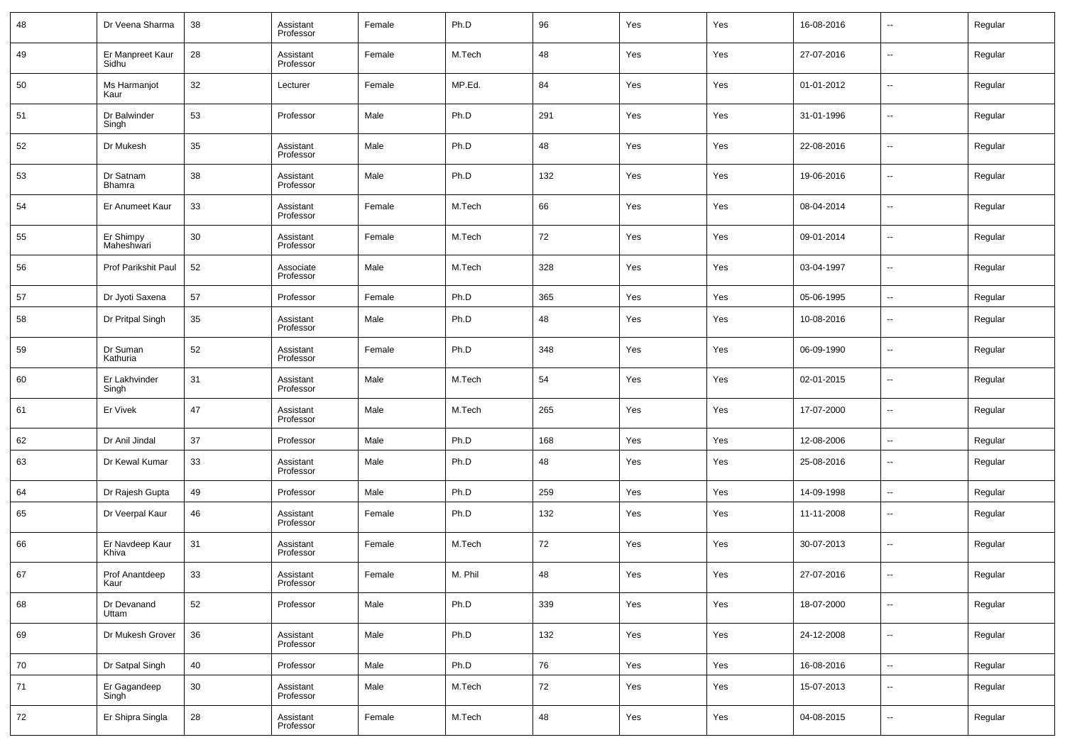| 48 | Dr Veena Sharma           | 38 | Assistant<br>Professor | Female | Ph.D    | 96  | Yes | Yes | 16-08-2016 | $\overline{\phantom{a}}$ | Regular |
|----|---------------------------|----|------------------------|--------|---------|-----|-----|-----|------------|--------------------------|---------|
| 49 | Er Manpreet Kaur<br>Sidhu | 28 | Assistant<br>Professor | Female | M.Tech  | 48  | Yes | Yes | 27-07-2016 | --                       | Regular |
| 50 | Ms Harmanjot<br>Kaur      | 32 | Lecturer               | Female | MP.Ed.  | 84  | Yes | Yes | 01-01-2012 | ш,                       | Regular |
| 51 | Dr Balwinder<br>Singh     | 53 | Professor              | Male   | Ph.D    | 291 | Yes | Yes | 31-01-1996 | --                       | Regular |
| 52 | Dr Mukesh                 | 35 | Assistant<br>Professor | Male   | Ph.D    | 48  | Yes | Yes | 22-08-2016 | ш,                       | Regular |
| 53 | Dr Satnam<br>Bhamra       | 38 | Assistant<br>Professor | Male   | Ph.D    | 132 | Yes | Yes | 19-06-2016 | ш,                       | Regular |
| 54 | Er Anumeet Kaur           | 33 | Assistant<br>Professor | Female | M.Tech  | 66  | Yes | Yes | 08-04-2014 | ш,                       | Regular |
| 55 | Er Shimpy<br>Maheshwari   | 30 | Assistant<br>Professor | Female | M.Tech  | 72  | Yes | Yes | 09-01-2014 | ш,                       | Regular |
| 56 | Prof Parikshit Paul       | 52 | Associate<br>Professor | Male   | M.Tech  | 328 | Yes | Yes | 03-04-1997 | --                       | Regular |
| 57 | Dr Jyoti Saxena           | 57 | Professor              | Female | Ph.D    | 365 | Yes | Yes | 05-06-1995 | $\overline{\phantom{a}}$ | Regular |
| 58 | Dr Pritpal Singh          | 35 | Assistant<br>Professor | Male   | Ph.D    | 48  | Yes | Yes | 10-08-2016 | --                       | Regular |
| 59 | Dr Suman<br>Kathuria      | 52 | Assistant<br>Professor | Female | Ph.D    | 348 | Yes | Yes | 06-09-1990 | $\sim$                   | Regular |
| 60 | Er Lakhvinder<br>Singh    | 31 | Assistant<br>Professor | Male   | M.Tech  | 54  | Yes | Yes | 02-01-2015 | --                       | Regular |
| 61 | Er Vivek                  | 47 | Assistant<br>Professor | Male   | M.Tech  | 265 | Yes | Yes | 17-07-2000 | $\overline{\phantom{a}}$ | Regular |
| 62 | Dr Anil Jindal            | 37 | Professor              | Male   | Ph.D    | 168 | Yes | Yes | 12-08-2006 | $\sim$                   | Regular |
| 63 | Dr Kewal Kumar            | 33 | Assistant<br>Professor | Male   | Ph.D    | 48  | Yes | Yes | 25-08-2016 | --                       | Regular |
| 64 | Dr Rajesh Gupta           | 49 | Professor              | Male   | Ph.D    | 259 | Yes | Yes | 14-09-1998 | $\sim$                   | Regular |
| 65 | Dr Veerpal Kaur           | 46 | Assistant<br>Professor | Female | Ph.D    | 132 | Yes | Yes | 11-11-2008 | --                       | Regular |
| 66 | Er Navdeep Kaur<br>Khiva  | 31 | Assistant<br>Professor | Female | M.Tech  | 72  | Yes | Yes | 30-07-2013 | --                       | Regular |
| 67 | Prof Anantdeep<br>Kaur    | 33 | Assistant<br>Professor | Female | M. Phil | 48  | Yes | Yes | 27-07-2016 | --                       | Regular |
| 68 | Dr Devanand<br>Uttam      | 52 | Professor              | Male   | Ph.D    | 339 | Yes | Yes | 18-07-2000 | $\overline{\phantom{a}}$ | Regular |
| 69 | Dr Mukesh Grover          | 36 | Assistant<br>Professor | Male   | Ph.D    | 132 | Yes | Yes | 24-12-2008 | $\overline{\phantom{a}}$ | Regular |
| 70 | Dr Satpal Singh           | 40 | Professor              | Male   | Ph.D    | 76  | Yes | Yes | 16-08-2016 | $\overline{\phantom{a}}$ | Regular |
| 71 | Er Gagandeep<br>Singh     | 30 | Assistant<br>Professor | Male   | M.Tech  | 72  | Yes | Yes | 15-07-2013 | $\overline{\phantom{a}}$ | Regular |
| 72 | Er Shipra Singla          | 28 | Assistant<br>Professor | Female | M.Tech  | 48  | Yes | Yes | 04-08-2015 | $\sim$                   | Regular |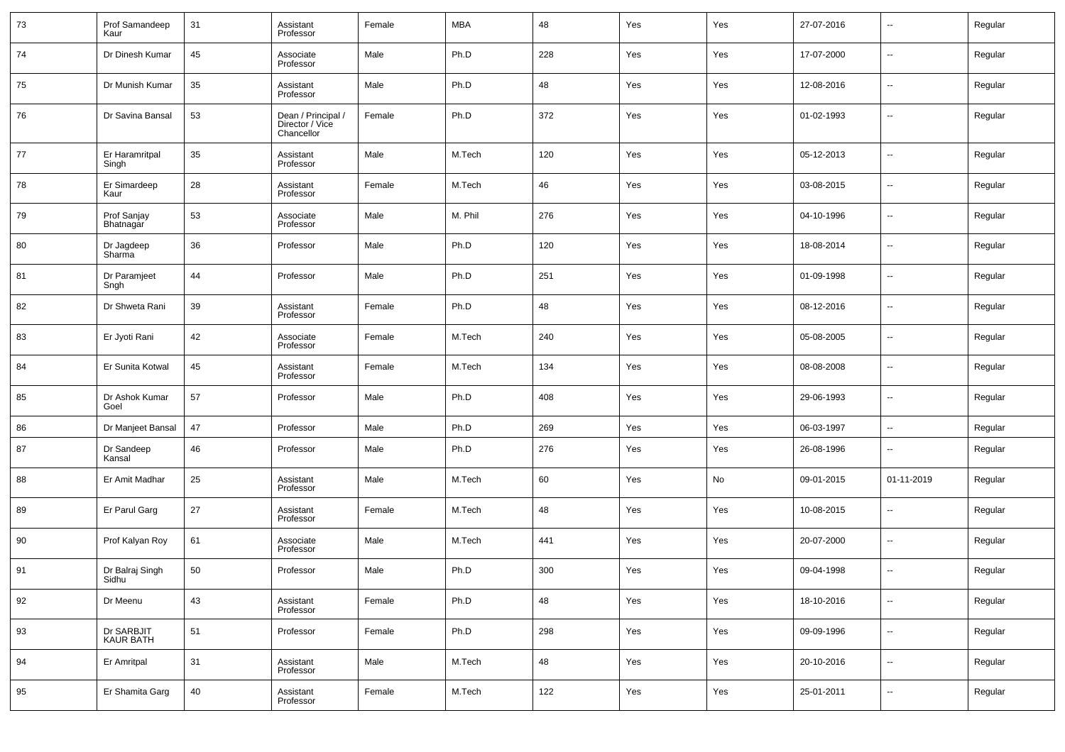| 73 | Prof Samandeep<br>Kaur         | 31 | Assistant<br>Professor                              | Female | MBA     | 48    | Yes | Yes | 27-07-2016 | --                       | Regular |
|----|--------------------------------|----|-----------------------------------------------------|--------|---------|-------|-----|-----|------------|--------------------------|---------|
| 74 | Dr Dinesh Kumar                | 45 | Associate<br>Professor                              | Male   | Ph.D    | 228   | Yes | Yes | 17-07-2000 | $\overline{\phantom{a}}$ | Regular |
| 75 | Dr Munish Kumar                | 35 | Assistant<br>Professor                              | Male   | Ph.D    | 48    | Yes | Yes | 12-08-2016 | --                       | Regular |
| 76 | Dr Savina Bansal               | 53 | Dean / Principal /<br>Director / Vice<br>Chancellor | Female | Ph.D    | 372   | Yes | Yes | 01-02-1993 | $\overline{\phantom{a}}$ | Regular |
| 77 | Er Haramritpal<br>Singh        | 35 | Assistant<br>Professor                              | Male   | M.Tech  | 120   | Yes | Yes | 05-12-2013 | ш,                       | Regular |
| 78 | Er Simardeep<br>Kaur           | 28 | Assistant<br>Professor                              | Female | M.Tech  | 46    | Yes | Yes | 03-08-2015 | --                       | Regular |
| 79 | Prof Sanjay<br>Bhatnagar       | 53 | Associate<br>Professor                              | Male   | M. Phil | 276   | Yes | Yes | 04-10-1996 | н.                       | Regular |
| 80 | Dr Jagdeep<br>Sharma           | 36 | Professor                                           | Male   | Ph.D    | 120   | Yes | Yes | 18-08-2014 | --                       | Regular |
| 81 | Dr Paramjeet<br>Sngh           | 44 | Professor                                           | Male   | Ph.D    | 251   | Yes | Yes | 01-09-1998 | н.                       | Regular |
| 82 | Dr Shweta Rani                 | 39 | Assistant<br>Professor                              | Female | Ph.D    | 48    | Yes | Yes | 08-12-2016 | --                       | Regular |
| 83 | Er Jyoti Rani                  | 42 | Associate<br>Professor                              | Female | M.Tech  | 240   | Yes | Yes | 05-08-2005 | --                       | Regular |
| 84 | Er Sunita Kotwal               | 45 | Assistant<br>Professor                              | Female | M.Tech  | 134   | Yes | Yes | 08-08-2008 | --                       | Regular |
| 85 | Dr Ashok Kumar<br>Goel         | 57 | Professor                                           | Male   | Ph.D    | 408   | Yes | Yes | 29-06-1993 | н.                       | Regular |
| 86 | Dr Manjeet Bansal              | 47 | Professor                                           | Male   | Ph.D    | 269   | Yes | Yes | 06-03-1997 | н.                       | Regular |
| 87 | Dr Sandeep<br>Kansal           | 46 | Professor                                           | Male   | Ph.D    | 276   | Yes | Yes | 26-08-1996 | --                       | Regular |
| 88 | Er Amit Madhar                 | 25 | Assistant<br>Professor                              | Male   | M.Tech  | 60    | Yes | No  | 09-01-2015 | 01-11-2019               | Regular |
| 89 | Er Parul Garg                  | 27 | Assistant<br>Professor                              | Female | M.Tech  | 48    | Yes | Yes | 10-08-2015 | --                       | Regular |
| 90 | Prof Kalyan Roy                | 61 | Associate<br>Professor                              | Male   | M.Tech  | 441   | Yes | Yes | 20-07-2000 | --                       | Regular |
| 91 | Dr Balraj Singh<br>Sidhu       | 50 | Professor                                           | Male   | Ph.D    | 300   | Yes | Yes | 09-04-1998 | $\overline{a}$           | Regular |
| 92 | Dr Meenu                       | 43 | Assistant<br>Professor                              | Female | Ph.D    | 48    | Yes | Yes | 18-10-2016 | $\overline{\phantom{a}}$ | Regular |
| 93 | Dr SARBJIT<br><b>KAUR BATH</b> | 51 | Professor                                           | Female | Ph.D    | 298   | Yes | Yes | 09-09-1996 | $\overline{\phantom{a}}$ | Regular |
| 94 | Er Amritpal                    | 31 | Assistant<br>Professor                              | Male   | M.Tech  | 48    | Yes | Yes | 20-10-2016 | $\overline{\phantom{a}}$ | Regular |
| 95 | Er Shamita Garg                | 40 | Assistant<br>Professor                              | Female | M.Tech  | $122$ | Yes | Yes | 25-01-2011 | $\sim$                   | Regular |